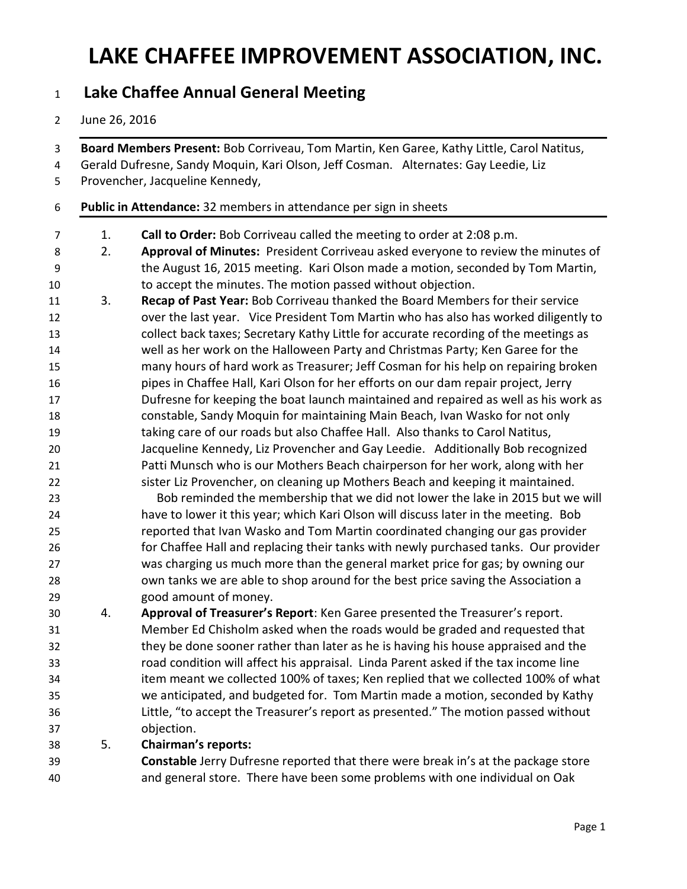### LAKE CHAFFEE IMPROVEMENT ASSOCIATION, INC.

### 1 Lake Chaffee Annual General Meeting

#### June 26, 2016

3 Board Members Present: Bob Corriveau, Tom Martin, Ken Garee, Kathy Little, Carol Natitus,

- Gerald Dufresne, Sandy Moquin, Kari Olson, Jeff Cosman. Alternates: Gay Leedie, Liz
- Provencher, Jacqueline Kennedy,

#### Public in Attendance: 32 members in attendance per sign in sheets

- 7 1. Call to Order: Bob Corriveau called the meeting to order at 2:08 p.m.
- 2. Approval of Minutes: President Corriveau asked everyone to review the minutes of the August 16, 2015 meeting. Kari Olson made a motion, seconded by Tom Martin, to accept the minutes. The motion passed without objection.
- 3. Recap of Past Year: Bob Corriveau thanked the Board Members for their service over the last year. Vice President Tom Martin who has also has worked diligently to collect back taxes; Secretary Kathy Little for accurate recording of the meetings as well as her work on the Halloween Party and Christmas Party; Ken Garee for the many hours of hard work as Treasurer; Jeff Cosman for his help on repairing broken pipes in Chaffee Hall, Kari Olson for her efforts on our dam repair project, Jerry Dufresne for keeping the boat launch maintained and repaired as well as his work as constable, Sandy Moquin for maintaining Main Beach, Ivan Wasko for not only taking care of our roads but also Chaffee Hall. Also thanks to Carol Natitus, Jacqueline Kennedy, Liz Provencher and Gay Leedie. Additionally Bob recognized Patti Munsch who is our Mothers Beach chairperson for her work, along with her sister Liz Provencher, on cleaning up Mothers Beach and keeping it maintained.
- Bob reminded the membership that we did not lower the lake in 2015 but we will have to lower it this year; which Kari Olson will discuss later in the meeting. Bob reported that Ivan Wasko and Tom Martin coordinated changing our gas provider for Chaffee Hall and replacing their tanks with newly purchased tanks. Our provider was charging us much more than the general market price for gas; by owning our own tanks we are able to shop around for the best price saving the Association a good amount of money.
- 30 4. Approval of Treasurer's Report: Ken Garee presented the Treasurer's report. Member Ed Chisholm asked when the roads would be graded and requested that they be done sooner rather than later as he is having his house appraised and the road condition will affect his appraisal. Linda Parent asked if the tax income line item meant we collected 100% of taxes; Ken replied that we collected 100% of what we anticipated, and budgeted for. Tom Martin made a motion, seconded by Kathy Little, "to accept the Treasurer's report as presented." The motion passed without objection.
- 5. Chairman's reports:
- Constable Jerry Dufresne reported that there were break in's at the package store and general store. There have been some problems with one individual on Oak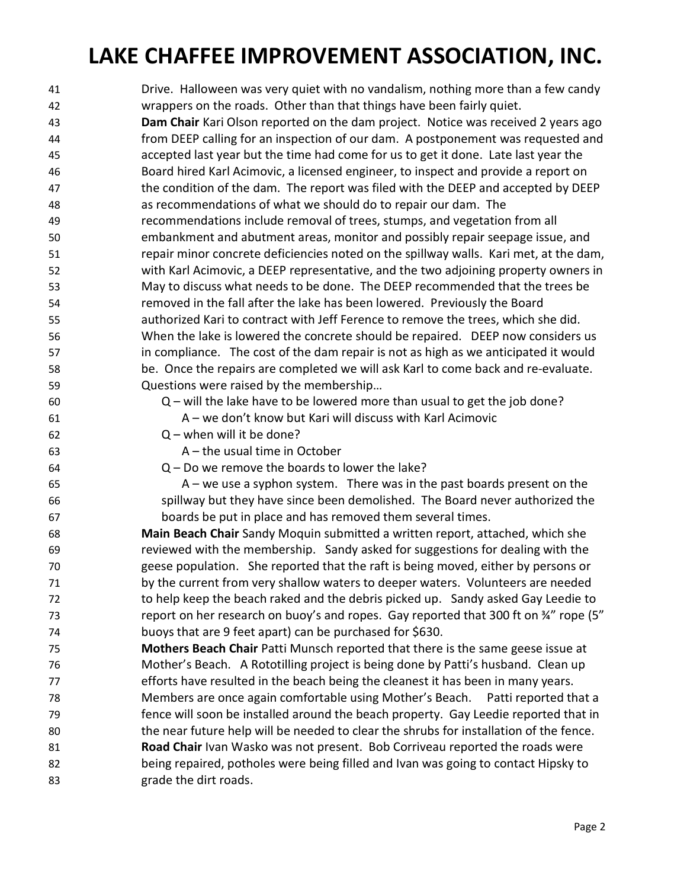# LAKE CHAFFEE IMPROVEMENT ASSOCIATION, INC.

| 41 | Drive. Halloween was very quiet with no vandalism, nothing more than a few candy       |
|----|----------------------------------------------------------------------------------------|
| 42 | wrappers on the roads. Other than that things have been fairly quiet.                  |
| 43 | Dam Chair Kari Olson reported on the dam project. Notice was received 2 years ago      |
| 44 | from DEEP calling for an inspection of our dam. A postponement was requested and       |
| 45 | accepted last year but the time had come for us to get it done. Late last year the     |
| 46 | Board hired Karl Acimovic, a licensed engineer, to inspect and provide a report on     |
| 47 | the condition of the dam. The report was filed with the DEEP and accepted by DEEP      |
| 48 | as recommendations of what we should do to repair our dam. The                         |
| 49 | recommendations include removal of trees, stumps, and vegetation from all              |
| 50 | embankment and abutment areas, monitor and possibly repair seepage issue, and          |
| 51 | repair minor concrete deficiencies noted on the spillway walls. Kari met, at the dam,  |
| 52 | with Karl Acimovic, a DEEP representative, and the two adjoining property owners in    |
| 53 | May to discuss what needs to be done. The DEEP recommended that the trees be           |
| 54 | removed in the fall after the lake has been lowered. Previously the Board              |
| 55 | authorized Kari to contract with Jeff Ference to remove the trees, which she did.      |
| 56 | When the lake is lowered the concrete should be repaired. DEEP now considers us        |
| 57 | in compliance. The cost of the dam repair is not as high as we anticipated it would    |
| 58 | be. Once the repairs are completed we will ask Karl to come back and re-evaluate.      |
| 59 | Questions were raised by the membership                                                |
| 60 | Q – will the lake have to be lowered more than usual to get the job done?              |
| 61 | A – we don't know but Kari will discuss with Karl Acimovic                             |
| 62 | $Q$ – when will it be done?                                                            |
| 63 | $A$ – the usual time in October                                                        |
| 64 | $Q$ – Do we remove the boards to lower the lake?                                       |
| 65 | $A$ – we use a syphon system. There was in the past boards present on the              |
| 66 | spillway but they have since been demolished. The Board never authorized the           |
| 67 | boards be put in place and has removed them several times.                             |
| 68 | Main Beach Chair Sandy Moquin submitted a written report, attached, which she          |
| 69 | reviewed with the membership. Sandy asked for suggestions for dealing with the         |
| 70 | geese population. She reported that the raft is being moved, either by persons or      |
| 71 | by the current from very shallow waters to deeper waters. Volunteers are needed        |
| 72 | to help keep the beach raked and the debris picked up. Sandy asked Gay Leedie to       |
| 73 | report on her research on buoy's and ropes. Gay reported that 300 ft on 34" rope (5"   |
| 74 | buoys that are 9 feet apart) can be purchased for \$630.                               |
| 75 | Mothers Beach Chair Patti Munsch reported that there is the same geese issue at        |
| 76 | Mother's Beach. A Rototilling project is being done by Patti's husband. Clean up       |
| 77 | efforts have resulted in the beach being the cleanest it has been in many years.       |
| 78 | Members are once again comfortable using Mother's Beach. Patti reported that a         |
| 79 | fence will soon be installed around the beach property. Gay Leedie reported that in    |
| 80 | the near future help will be needed to clear the shrubs for installation of the fence. |
| 81 | Road Chair Ivan Wasko was not present. Bob Corriveau reported the roads were           |
| 82 | being repaired, potholes were being filled and Ivan was going to contact Hipsky to     |
| 83 | grade the dirt roads.                                                                  |